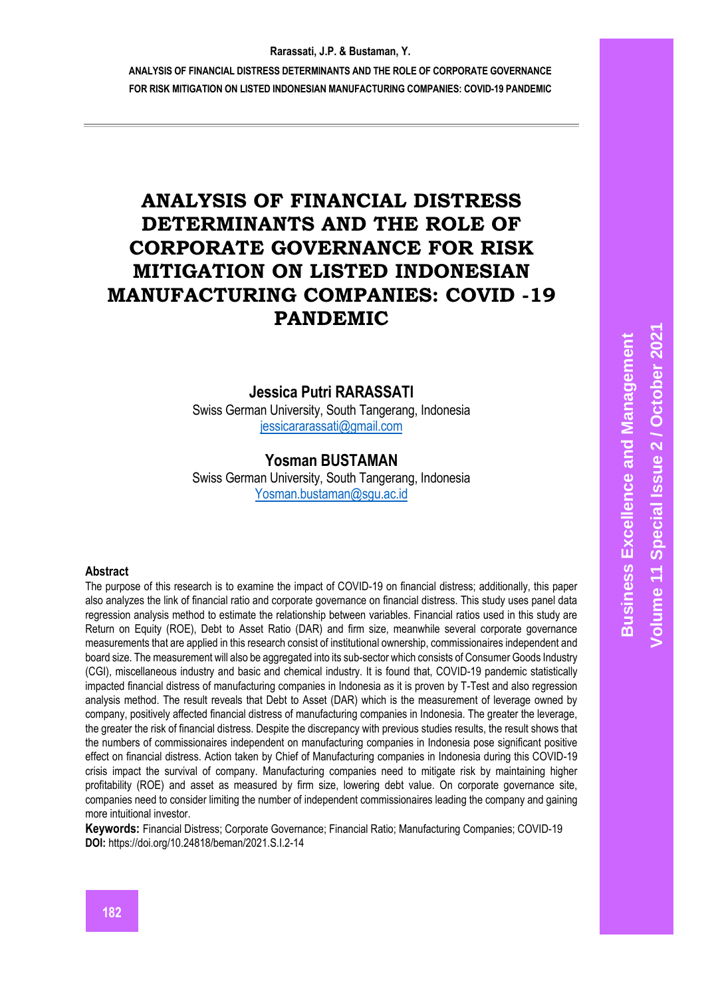**ANALYSIS OF FINANCIAL DISTRESS DETERMINANTS AND THE ROLE OF CORPORATE GOVERNANCE FOR RISK MITIGATION ON LISTED INDONESIAN MANUFACTURING COMPANIES: COVID-19 PANDEMIC**

# **ANALYSIS OF FINANCIAL DISTRESS DETERMINANTS AND THE ROLE OF CORPORATE GOVERNANCE FOR RISK MITIGATION ON LISTED INDONESIAN MANUFACTURING COMPANIES: COVID -19 PANDEMIC**

# **Jessica Putri RARASSATI**

Swiss German University, South Tangerang, Indonesia [jessicararassati@gmail.com](mailto:jessicararassati@gmail.com)

# **Yosman BUSTAMAN**

Swiss German University, South Tangerang, Indonesia [Yosman.bustaman@sgu.ac.id](mailto:Yosman.bustaman@sgu.ac.id)

#### **Abstract**

The purpose of this research is to examine the impact of COVID-19 on financial distress; additionally, this paper also analyzes the link of financial ratio and corporate governance on financial distress. This study uses panel data regression analysis method to estimate the relationship between variables. Financial ratios used in this study are Return on Equity (ROE), Debt to Asset Ratio (DAR) and firm size, meanwhile several corporate governance measurements that are applied in this research consist of institutional ownership, commissionaires independent and board size. The measurement will also be aggregated into its sub-sector which consists of Consumer Goods Industry (CGI), miscellaneous industry and basic and chemical industry. It is found that, COVID-19 pandemic statistically impacted financial distress of manufacturing companies in Indonesia as it is proven by T-Test and also regression analysis method. The result reveals that Debt to Asset (DAR) which is the measurement of leverage owned by company, positively affected financial distress of manufacturing companies in Indonesia. The greater the leverage, the greater the risk of financial distress. Despite the discrepancy with previous studies results, the result shows that the numbers of commissionaires independent on manufacturing companies in Indonesia pose significant positive effect on financial distress. Action taken by Chief of Manufacturing companies in Indonesia during this COVID-19 crisis impact the survival of company. Manufacturing companies need to mitigate risk by maintaining higher profitability (ROE) and asset as measured by firm size, lowering debt value. On corporate governance site, companies need to consider limiting the number of independent commissionaires leading the company and gaining more intuitional investor.

**Keywords:** Financial Distress; Corporate Governance; Financial Ratio; Manufacturing Companies; COVID-19 **DOI:** https://doi.org/10.24818/beman/2021.S.I.2-14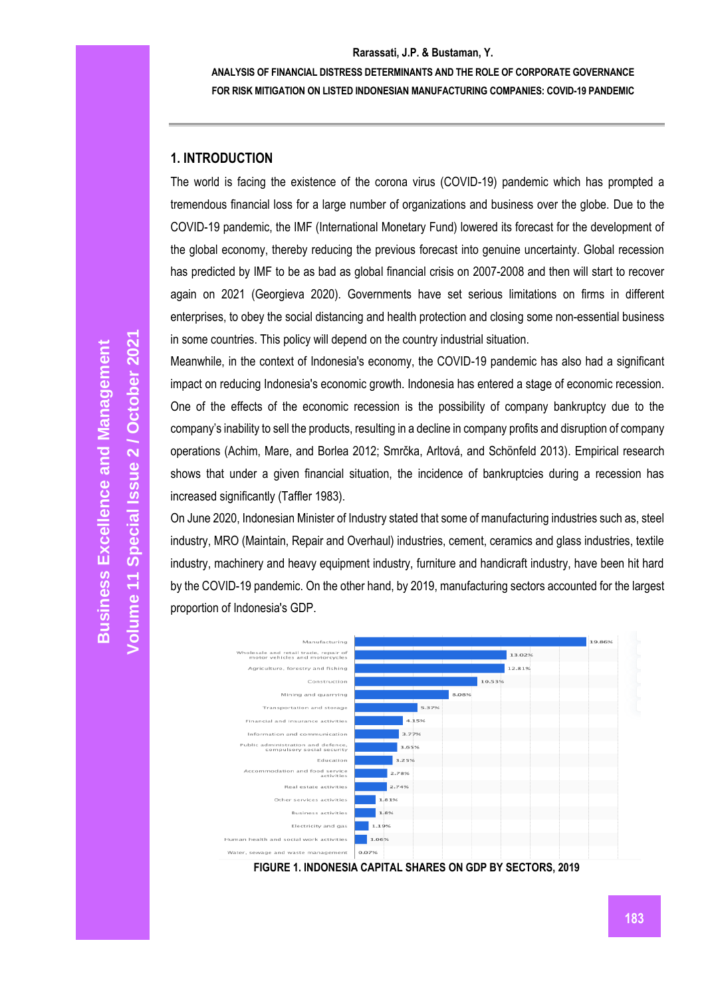**ANALYSIS OF FINANCIAL DISTRESS DETERMINANTS AND THE ROLE OF CORPORATE GOVERNANCE FOR RISK MITIGATION ON LISTED INDONESIAN MANUFACTURING COMPANIES: COVID-19 PANDEMIC**

# **1. INTRODUCTION**

The world is facing the existence of the corona virus (COVID-19) pandemic which has prompted a tremendous financial loss for a large number of organizations and business over the globe. Due to the COVID-19 pandemic, the IMF (International Monetary Fund) lowered its forecast for the development of the global economy, thereby reducing the previous forecast into genuine uncertainty. Global recession has predicted by IMF to be as bad as global financial crisis on 2007-2008 and then will start to recover again on 2021 (Georgieva 2020). Governments have set serious limitations on firms in different enterprises, to obey the social distancing and health protection and closing some non-essential business in some countries. This policy will depend on the country industrial situation.

Meanwhile, in the context of Indonesia's economy, the COVID-19 pandemic has also had a significant impact on reducing Indonesia's economic growth. Indonesia has entered a stage of economic recession. One of the effects of the economic recession is the possibility of company bankruptcy due to the company's inability to sell the products, resulting in a decline in company profits and disruption of company operations (Achim, Mare, and Borlea 2012; Smrčka, Arltová, and Schönfeld 2013). Empirical research shows that under a given financial situation, the incidence of bankruptcies during a recession has increased significantly (Taffler 1983).

On June 2020, Indonesian Minister of Industry stated that some of manufacturing industries such as, steel industry, MRO (Maintain, Repair and Overhaul) industries, cement, ceramics and glass industries, textile industry, machinery and heavy equipment industry, furniture and handicraft industry, have been hit hard by the COVID-19 pandemic. On the other hand, by 2019, manufacturing sectors accounted for the largest proportion of Indonesia's GDP.



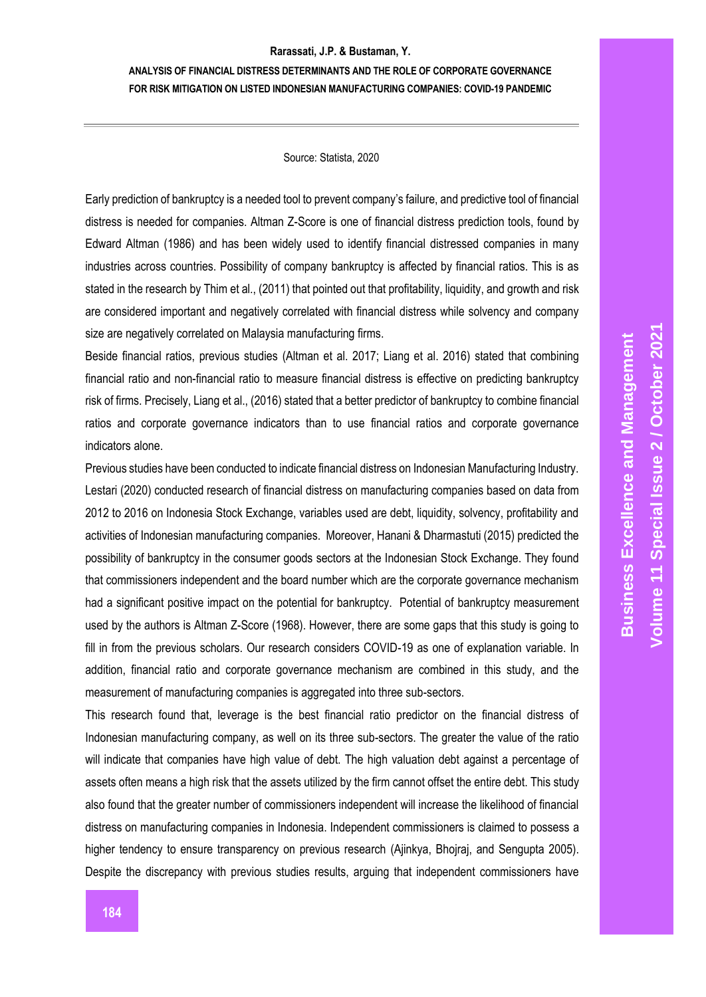**ANALYSIS OF FINANCIAL DISTRESS DETERMINANTS AND THE ROLE OF CORPORATE GOVERNANCE FOR RISK MITIGATION ON LISTED INDONESIAN MANUFACTURING COMPANIES: COVID-19 PANDEMIC**

### Source: Statista, 2020

Early prediction of bankruptcy is a needed tool to prevent company's failure, and predictive tool of financial distress is needed for companies. Altman Z-Score is one of financial distress prediction tools, found by Edward Altman (1986) and has been widely used to identify financial distressed companies in many industries across countries. Possibility of company bankruptcy is affected by financial ratios. This is as stated in the research by Thim et al., (2011) that pointed out that profitability, liquidity, and growth and risk are considered important and negatively correlated with financial distress while solvency and company size are negatively correlated on Malaysia manufacturing firms.

Beside financial ratios, previous studies (Altman et al. 2017; Liang et al. 2016) stated that combining financial ratio and non-financial ratio to measure financial distress is effective on predicting bankruptcy risk of firms. Precisely, Liang et al., (2016) stated that a better predictor of bankruptcy to combine financial ratios and corporate governance indicators than to use financial ratios and corporate governance indicators alone.

Previous studies have been conducted to indicate financial distress on Indonesian Manufacturing Industry. Lestari (2020) conducted research of financial distress on manufacturing companies based on data from 2012 to 2016 on Indonesia Stock Exchange, variables used are debt, liquidity, solvency, profitability and activities of Indonesian manufacturing companies. Moreover, Hanani & Dharmastuti (2015) predicted the possibility of bankruptcy in the consumer goods sectors at the Indonesian Stock Exchange. They found that commissioners independent and the board number which are the corporate governance mechanism had a significant positive impact on the potential for bankruptcy. Potential of bankruptcy measurement used by the authors is Altman Z-Score (1968). However, there are some gaps that this study is going to fill in from the previous scholars. Our research considers COVID-19 as one of explanation variable. In addition, financial ratio and corporate governance mechanism are combined in this study, and the measurement of manufacturing companies is aggregated into three sub-sectors.

This research found that, leverage is the best financial ratio predictor on the financial distress of Indonesian manufacturing company, as well on its three sub-sectors. The greater the value of the ratio will indicate that companies have high value of debt. The high valuation debt against a percentage of assets often means a high risk that the assets utilized by the firm cannot offset the entire debt. This study also found that the greater number of commissioners independent will increase the likelihood of financial distress on manufacturing companies in Indonesia. Independent commissioners is claimed to possess a higher tendency to ensure transparency on previous research (Ajinkya, Bhojraj, and Sengupta 2005). Despite the discrepancy with previous studies results, arguing that independent commissioners have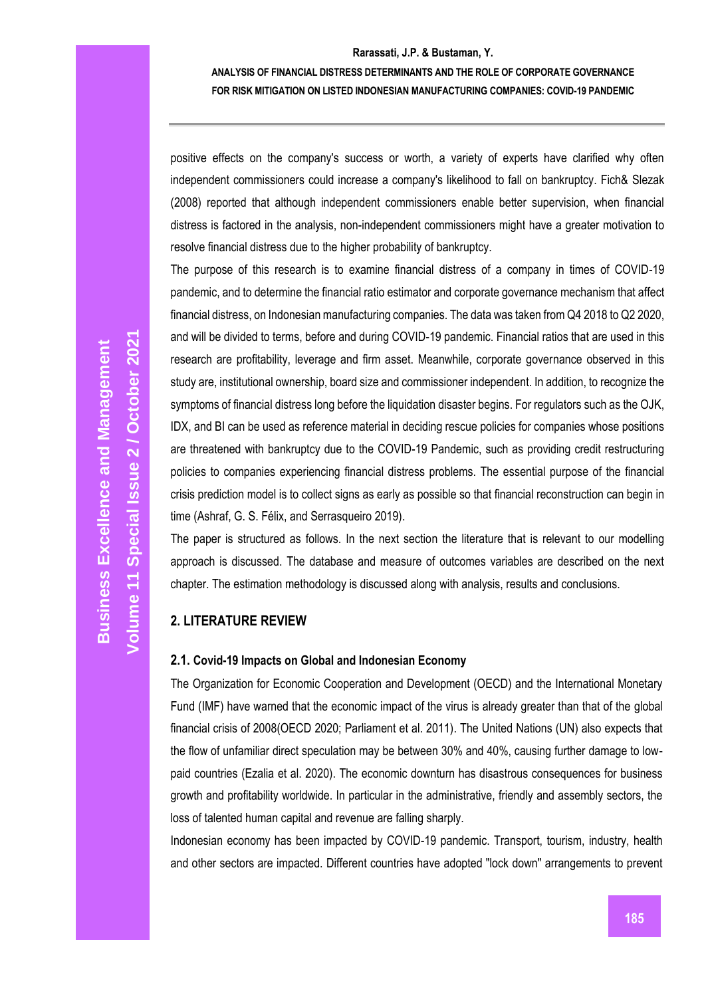## **ANALYSIS OF FINANCIAL DISTRESS DETERMINANTS AND THE ROLE OF CORPORATE GOVERNANCE FOR RISK MITIGATION ON LISTED INDONESIAN MANUFACTURING COMPANIES: COVID-19 PANDEMIC**

positive effects on the company's success or worth, a variety of experts have clarified why often independent commissioners could increase a company's likelihood to fall on bankruptcy. Fich& Slezak (2008) reported that although independent commissioners enable better supervision, when financial distress is factored in the analysis, non-independent commissioners might have a greater motivation to resolve financial distress due to the higher probability of bankruptcy.

The purpose of this research is to examine financial distress of a company in times of COVID-19 pandemic, and to determine the financial ratio estimator and corporate governance mechanism that affect financial distress, on Indonesian manufacturing companies. The data was taken from Q4 2018 to Q2 2020, and will be divided to terms, before and during COVID-19 pandemic. Financial ratios that are used in this research are profitability, leverage and firm asset. Meanwhile, corporate governance observed in this study are, institutional ownership, board size and commissioner independent. In addition, to recognize the symptoms of financial distress long before the liquidation disaster begins. For regulators such as the OJK, IDX, and BI can be used as reference material in deciding rescue policies for companies whose positions are threatened with bankruptcy due to the COVID-19 Pandemic, such as providing credit restructuring policies to companies experiencing financial distress problems. The essential purpose of the financial crisis prediction model is to collect signs as early as possible so that financial reconstruction can begin in time (Ashraf, G. S. Félix, and Serrasqueiro 2019).

The paper is structured as follows. In the next section the literature that is relevant to our modelling approach is discussed. The database and measure of outcomes variables are described on the next chapter. The estimation methodology is discussed along with analysis, results and conclusions.

# **2. LITERATURE REVIEW**

## **2.1. Covid-19 Impacts on Global and Indonesian Economy**

The Organization for Economic Cooperation and Development (OECD) and the International Monetary Fund (IMF) have warned that the economic impact of the virus is already greater than that of the global financial crisis of 2008(OECD 2020; Parliament et al. 2011). The United Nations (UN) also expects that the flow of unfamiliar direct speculation may be between 30% and 40%, causing further damage to lowpaid countries (Ezalia et al. 2020). The economic downturn has disastrous consequences for business growth and profitability worldwide. In particular in the administrative, friendly and assembly sectors, the loss of talented human capital and revenue are falling sharply.

Indonesian economy has been impacted by COVID-19 pandemic. Transport, tourism, industry, health and other sectors are impacted. Different countries have adopted "lock down" arrangements to prevent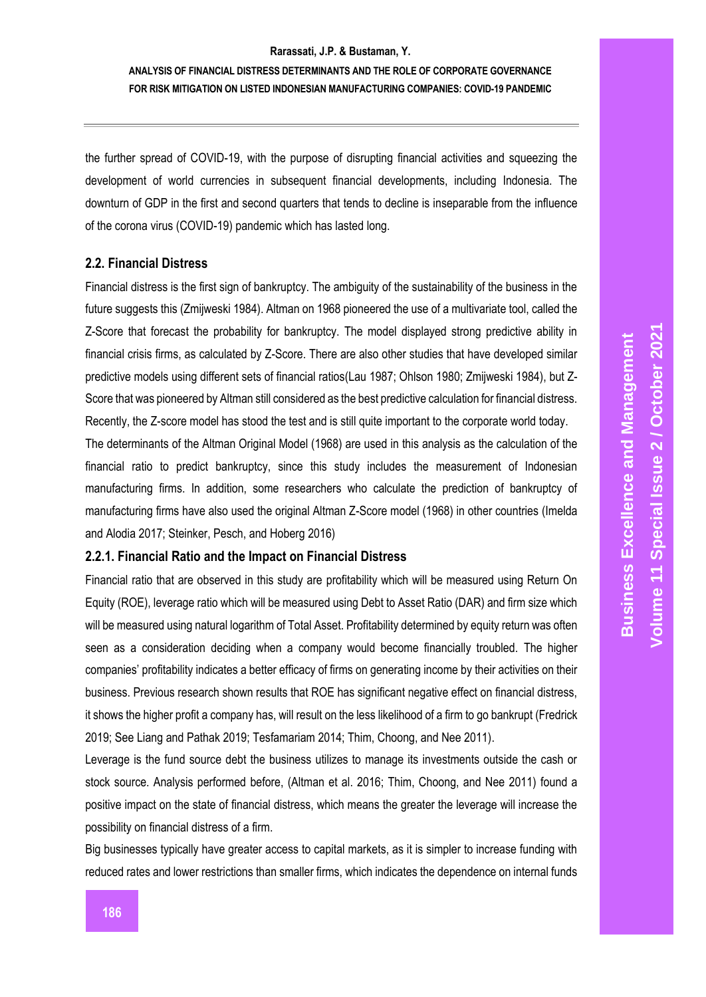# **ANALYSIS OF FINANCIAL DISTRESS DETERMINANTS AND THE ROLE OF CORPORATE GOVERNANCE FOR RISK MITIGATION ON LISTED INDONESIAN MANUFACTURING COMPANIES: COVID-19 PANDEMIC**

the further spread of COVID-19, with the purpose of disrupting financial activities and squeezing the development of world currencies in subsequent financial developments, including Indonesia. The downturn of GDP in the first and second quarters that tends to decline is inseparable from the influence of the corona virus (COVID-19) pandemic which has lasted long.

## **2.2. Financial Distress**

Financial distress is the first sign of bankruptcy. The ambiguity of the sustainability of the business in the future suggests this (Zmijweski 1984). Altman on 1968 pioneered the use of a multivariate tool, called the Z-Score that forecast the probability for bankruptcy. The model displayed strong predictive ability in financial crisis firms, as calculated by Z-Score. There are also other studies that have developed similar predictive models using different sets of financial ratios(Lau 1987; Ohlson 1980; Zmijweski 1984), but Z-Score that was pioneered by Altman still considered as the best predictive calculation for financial distress. Recently, the Z-score model has stood the test and is still quite important to the corporate world today.

The determinants of the Altman Original Model (1968) are used in this analysis as the calculation of the financial ratio to predict bankruptcy, since this study includes the measurement of Indonesian manufacturing firms. In addition, some researchers who calculate the prediction of bankruptcy of manufacturing firms have also used the original Altman Z-Score model (1968) in other countries (Imelda and Alodia 2017; Steinker, Pesch, and Hoberg 2016)

## **2.2.1. Financial Ratio and the Impact on Financial Distress**

Financial ratio that are observed in this study are profitability which will be measured using Return On Equity (ROE), leverage ratio which will be measured using Debt to Asset Ratio (DAR) and firm size which will be measured using natural logarithm of Total Asset. Profitability determined by equity return was often seen as a consideration deciding when a company would become financially troubled. The higher companies' profitability indicates a better efficacy of firms on generating income by their activities on their business. Previous research shown results that ROE has significant negative effect on financial distress, it shows the higher profit a company has, will result on the less likelihood of a firm to go bankrupt (Fredrick 2019; See Liang and Pathak 2019; Tesfamariam 2014; Thim, Choong, and Nee 2011).

Leverage is the fund source debt the business utilizes to manage its investments outside the cash or stock source. Analysis performed before, (Altman et al. 2016; Thim, Choong, and Nee 2011) found a positive impact on the state of financial distress, which means the greater the leverage will increase the possibility on financial distress of a firm.

Big businesses typically have greater access to capital markets, as it is simpler to increase funding with reduced rates and lower restrictions than smaller firms, which indicates the dependence on internal funds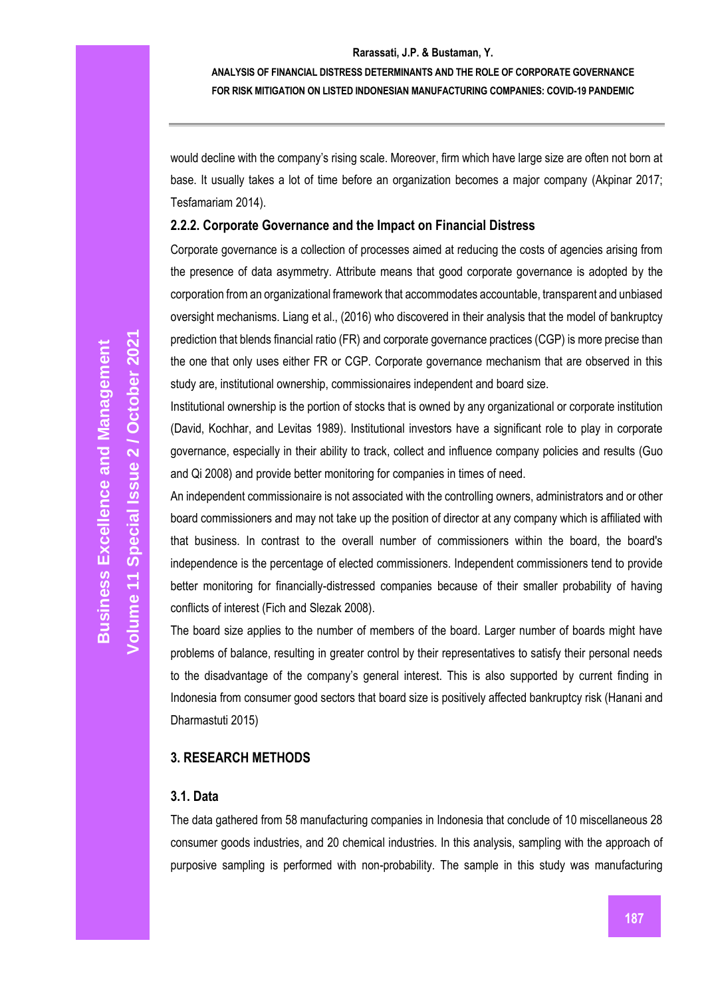**ANALYSIS OF FINANCIAL DISTRESS DETERMINANTS AND THE ROLE OF CORPORATE GOVERNANCE FOR RISK MITIGATION ON LISTED INDONESIAN MANUFACTURING COMPANIES: COVID-19 PANDEMIC**

would decline with the company's rising scale. Moreover, firm which have large size are often not born at base. It usually takes a lot of time before an organization becomes a major company (Akpinar 2017; Tesfamariam 2014).

## **2.2.2. Corporate Governance and the Impact on Financial Distress**

Corporate governance is a collection of processes aimed at reducing the costs of agencies arising from the presence of data asymmetry. Attribute means that good corporate governance is adopted by the corporation from an organizational framework that accommodates accountable, transparent and unbiased oversight mechanisms. Liang et al., (2016) who discovered in their analysis that the model of bankruptcy prediction that blends financial ratio (FR) and corporate governance practices (CGP) is more precise than the one that only uses either FR or CGP. Corporate governance mechanism that are observed in this study are, institutional ownership, commissionaires independent and board size.

Institutional ownership is the portion of stocks that is owned by any organizational or corporate institution (David, Kochhar, and Levitas 1989). Institutional investors have a significant role to play in corporate governance, especially in their ability to track, collect and influence company policies and results (Guo and Qi 2008) and provide better monitoring for companies in times of need.

An independent commissionaire is not associated with the controlling owners, administrators and or other board commissioners and may not take up the position of director at any company which is affiliated with that business. In contrast to the overall number of commissioners within the board, the board's independence is the percentage of elected commissioners. Independent commissioners tend to provide better monitoring for financially-distressed companies because of their smaller probability of having conflicts of interest (Fich and Slezak 2008).

The board size applies to the number of members of the board. Larger number of boards might have problems of balance, resulting in greater control by their representatives to satisfy their personal needs to the disadvantage of the company's general interest. This is also supported by current finding in Indonesia from consumer good sectors that board size is positively affected bankruptcy risk (Hanani and Dharmastuti 2015)

## **3. RESEARCH METHODS**

# **3.1. Data**

The data gathered from 58 manufacturing companies in Indonesia that conclude of 10 miscellaneous 28 consumer goods industries, and 20 chemical industries. In this analysis, sampling with the approach of purposive sampling is performed with non-probability. The sample in this study was manufacturing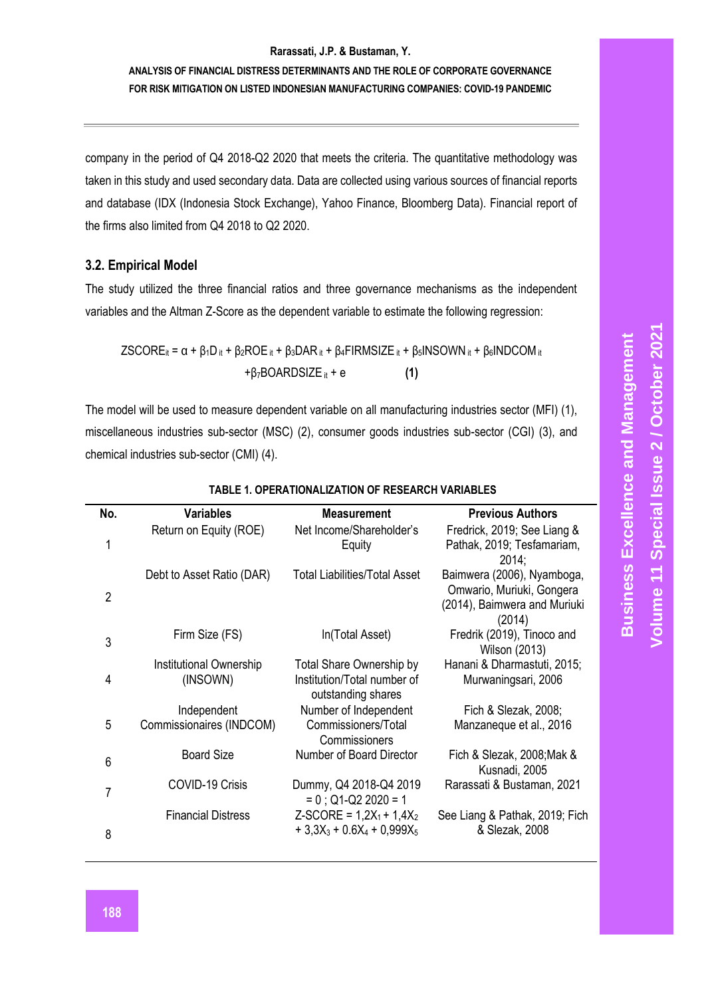# **ANALYSIS OF FINANCIAL DISTRESS DETERMINANTS AND THE ROLE OF CORPORATE GOVERNANCE FOR RISK MITIGATION ON LISTED INDONESIAN MANUFACTURING COMPANIES: COVID-19 PANDEMIC**

company in the period of Q4 2018-Q2 2020 that meets the criteria. The quantitative methodology was taken in this study and used secondary data. Data are collected using various sources of financial reports and database (IDX (Indonesia Stock Exchange), Yahoo Finance, Bloomberg Data). Financial report of the firms also limited from Q4 2018 to Q2 2020.

# **3.2. Empirical Model**

The study utilized the three financial ratios and three governance mechanisms as the independent variables and the Altman Z-Score as the dependent variable to estimate the following regression:

$$
ZSCOREit = α + β1Dit + β2ROEit + β3DARit + β4FIRMSIZEit + β5INSOWNit + β6INDCOMit
$$
  
+β<sub>7</sub>BOARDSIZE<sub>it</sub> + e (1)

The model will be used to measure dependent variable on all manufacturing industries sector (MFI) (1), miscellaneous industries sub-sector (MSC) (2), consumer goods industries sub-sector (CGI) (3), and chemical industries sub-sector (CMI) (4).

| No.            | <b>Variables</b>                           | <b>Measurement</b>                                                                   | <b>Previous Authors</b>                                                                           |
|----------------|--------------------------------------------|--------------------------------------------------------------------------------------|---------------------------------------------------------------------------------------------------|
| 1              | Return on Equity (ROE)                     | Net Income/Shareholder's<br>Equity                                                   | Fredrick, 2019; See Liang &<br>Pathak, 2019; Tesfamariam,<br>2014:                                |
| $\overline{2}$ | Debt to Asset Ratio (DAR)                  | Total Liabilities/Total Asset                                                        | Baimwera (2006), Nyamboga,<br>Omwario, Muriuki, Gongera<br>(2014), Baimwera and Muriuki<br>(2014) |
| 3              | Firm Size (FS)                             | In(Total Asset)                                                                      | Fredrik (2019), Tinoco and<br>Wilson (2013)                                                       |
| 4              | <b>Institutional Ownership</b><br>(INSOWN) | <b>Total Share Ownership by</b><br>Institution/Total number of<br>outstanding shares | Hanani & Dharmastuti, 2015;<br>Murwaningsari, 2006                                                |
| 5              | Independent<br>Commissionaires (INDCOM)    | Number of Independent<br>Commissioners/Total<br>Commissioners                        | Fich & Slezak, 2008;<br>Manzaneque et al., 2016                                                   |
| 6              | <b>Board Size</b>                          | Number of Board Director                                                             | Fich & Slezak, 2008; Mak &<br>Kusnadi, 2005                                                       |
| 7              | COVID-19 Crisis                            | Dummy, Q4 2018-Q4 2019<br>$= 0$ ; Q1-Q2 2020 = 1                                     | Rarassati & Bustaman, 2021                                                                        |
| 8              | <b>Financial Distress</b>                  | $Z-SCORE = 1,2X_1 + 1,4X_2$<br>$+3.3X_3 + 0.6X_4 + 0.999X_5$                         | See Liang & Pathak, 2019; Fich<br>& Slezak, 2008                                                  |

## **TABLE 1. OPERATIONALIZATION OF RESEARCH VARIABLES**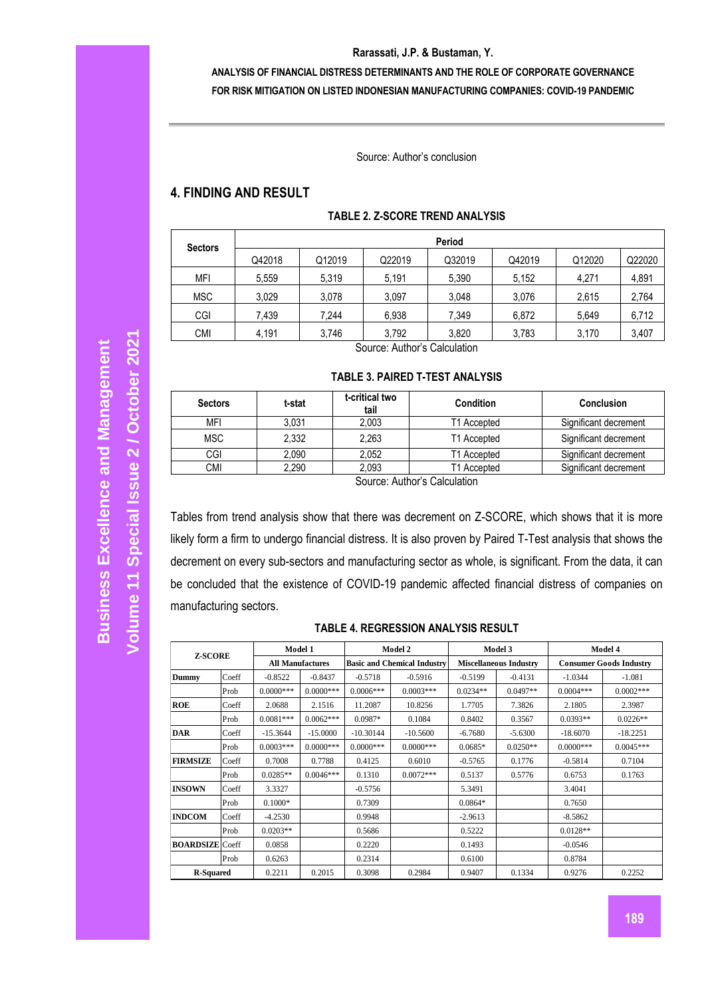# **ANALYSIS OF FINANCIAL DISTRESS DETERMINANTS AND THE ROLE OF CORPORATE GOVERNANCE FOR RISK MITIGATION ON LISTED INDONESIAN MANUFACTURING COMPANIES: COVID-19 PANDEMIC**

Source: Author's conclusion

# **4. FINDING AND RESULT**

| <b>Sectors</b> | Period |        |        |        |        |        |        |  |
|----------------|--------|--------|--------|--------|--------|--------|--------|--|
|                | Q42018 | Q12019 | Q22019 | Q32019 | Q42019 | Q12020 | Q22020 |  |
| <b>MFI</b>     | 5,559  | 5,319  | 5,191  | 5,390  | 5,152  | 4.271  | 4,891  |  |
| <b>MSC</b>     | 3,029  | 3,078  | 3,097  | 3,048  | 3,076  | 2,615  | 2,764  |  |
| CGI            | 7,439  | 7,244  | 6,938  | 7,349  | 6.872  | 5,649  | 6,712  |  |
| <b>CMI</b>     | 4,191  | 3,746  | 3,792  | 3,820  | 3,783  | 3,170  | 3,407  |  |

## **TABLE 2. Z-SCORE TREND ANALYSIS**

Source: Author's Calculation

#### **TABLE 3. PAIRED T-TEST ANALYSIS**

| <b>Sectors</b>               | t-critical two<br>t-stat<br>tail |       | <b>Condition</b> | Conclusion            |  |  |  |
|------------------------------|----------------------------------|-------|------------------|-----------------------|--|--|--|
| MFI                          | 3,031                            | 2.003 | T1 Accepted      | Significant decrement |  |  |  |
| <b>MSC</b>                   | 2.332                            | 2.263 | T1 Accepted      | Significant decrement |  |  |  |
| CGI                          | 2.090                            | 2.052 | T1 Accepted      | Significant decrement |  |  |  |
| <b>CMI</b>                   | 2.290                            | 2.093 | T1 Accepted      | Significant decrement |  |  |  |
| Carrosar Ardhawa Calardation |                                  |       |                  |                       |  |  |  |

Source: Author's Calculation

Tables from trend analysis show that there was decrement on Z-SCORE, which shows that it is more likely form a firm to undergo financial distress. It is also proven by Paired T-Test analysis that shows the decrement on every sub-sectors and manufacturing sector as whole, is significant. From the data, it can be concluded that the existence of COVID-19 pandemic affected financial distress of companies on manufacturing sectors.

## **TABLE 4. REGRESSION ANALYSIS RESULT**

| <b>Z-SCORE</b>         |       | Model 1                 |             | Model 2                            |             | Model 3                       |            | Model 4                        |             |
|------------------------|-------|-------------------------|-------------|------------------------------------|-------------|-------------------------------|------------|--------------------------------|-------------|
|                        |       | <b>All Manufactures</b> |             | <b>Basic and Chemical Industry</b> |             | <b>Miscellaneous Industry</b> |            | <b>Consumer Goods Industry</b> |             |
| Dummy                  | Coeff | $-0.8522$               | $-0.8437$   | $-0.5718$                          | $-0.5916$   | $-0.5199$                     | $-0.4131$  | $-1.0344$                      | $-1.081$    |
|                        | Prob  | $0.0000***$             | $0.0000***$ | $0.0006***$                        | $0.0003***$ | $0.0234**$                    | $0.0497**$ | $0.0004***$                    | $0.0002***$ |
| <b>ROE</b>             | Coeff | 2.0688                  | 2.1516      | 11.2087                            | 10.8256     | 1.7705                        | 7.3826     | 2.1805                         | 2.3987      |
|                        | Prob  | $0.0081***$             | $0.0062***$ | $0.0987*$                          | 0.1084      | 0.8402                        | 0.3567     | $0.0393**$                     | $0.0226**$  |
| <b>DAR</b>             | Coeff | $-15.3644$              | $-15,0000$  | $-10.30144$                        | $-10.5600$  | $-6.7680$                     | $-5.6300$  | $-18,6070$                     | $-18.2251$  |
|                        | Prob  | $0.0003***$             | $0.0000***$ | $0.0000***$                        | $0.0000***$ | $0.0685*$                     | $0.0250**$ | $0.0000$ ***                   | $0.0045***$ |
| <b>FIRMSIZE</b>        | Coeff | 0.7008                  | 0.7788      | 0.4125                             | 0.6010      | $-0.5765$                     | 0.1776     | $-0.5814$                      | 0.7104      |
|                        | Prob  | $0.0285**$              | $0.0046***$ | 0.1310                             | $0.0072***$ | 0.5137                        | 0.5776     | 0.6753                         | 0.1763      |
| <b>INSOWN</b>          | Coeff | 3.3327                  |             | $-0.5756$                          |             | 5.3491                        |            | 3.4041                         |             |
|                        | Prob  | $0.1000*$               |             | 0.7309                             |             | $0.0864*$                     |            | 0.7650                         |             |
| <b>INDCOM</b>          | Coeff | $-4.2530$               |             | 0.9948                             |             | $-2.9613$                     |            | $-8.5862$                      |             |
|                        | Prob  | $0.0203**$              |             | 0.5686                             |             | 0.5222                        |            | $0.0128**$                     |             |
| <b>BOARDSIZE</b> Coeff |       | 0.0858                  |             | 0.2220                             |             | 0.1493                        |            | $-0.0546$                      |             |
|                        | Prob  | 0.6263                  |             | 0.2314                             |             | 0.6100                        |            | 0.8784                         |             |
| <b>R-Squared</b>       |       | 0.2211                  | 0.2015      | 0.3098                             | 0.2984      | 0.9407                        | 0.1334     | 0.9276                         | 0.2252      |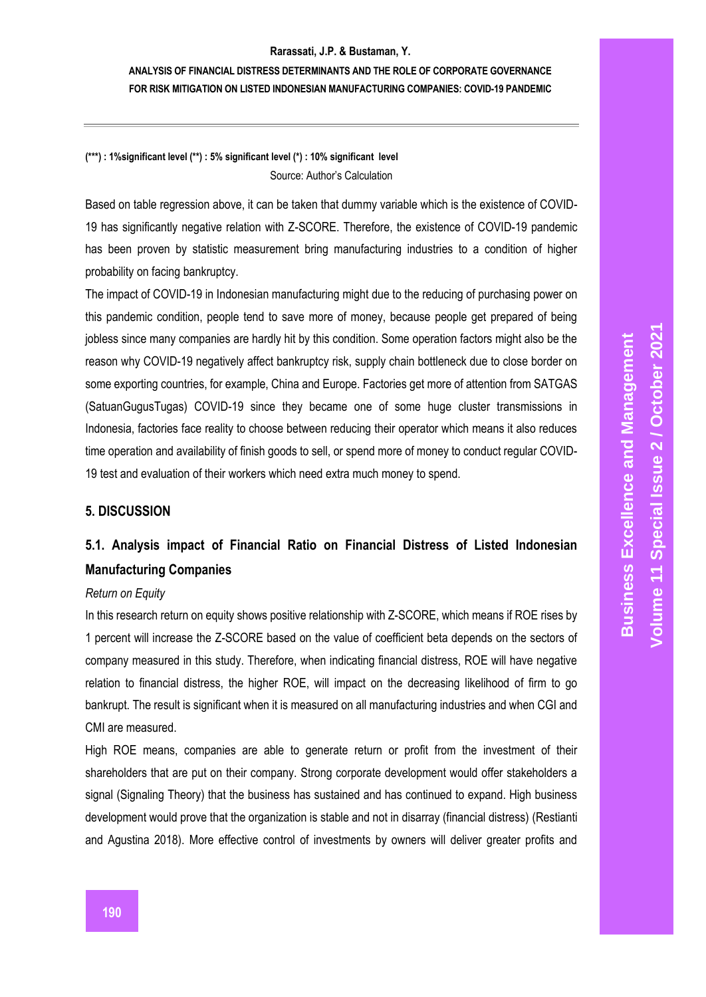**ANALYSIS OF FINANCIAL DISTRESS DETERMINANTS AND THE ROLE OF CORPORATE GOVERNANCE FOR RISK MITIGATION ON LISTED INDONESIAN MANUFACTURING COMPANIES: COVID-19 PANDEMIC**

# **(\*\*\*) : 1%significant level (\*\*) : 5% significant level (\*) : 10% significant level** Source: Author's Calculation

Based on table regression above, it can be taken that dummy variable which is the existence of COVID-19 has significantly negative relation with Z-SCORE. Therefore, the existence of COVID-19 pandemic has been proven by statistic measurement bring manufacturing industries to a condition of higher probability on facing bankruptcy.

The impact of COVID-19 in Indonesian manufacturing might due to the reducing of purchasing power on this pandemic condition, people tend to save more of money, because people get prepared of being jobless since many companies are hardly hit by this condition. Some operation factors might also be the reason why COVID-19 negatively affect bankruptcy risk, supply chain bottleneck due to close border on some exporting countries, for example, China and Europe. Factories get more of attention from SATGAS (SatuanGugusTugas) COVID-19 since they became one of some huge cluster transmissions in Indonesia, factories face reality to choose between reducing their operator which means it also reduces time operation and availability of finish goods to sell, or spend more of money to conduct regular COVID-19 test and evaluation of their workers which need extra much money to spend.

## **5. DISCUSSION**

# **5.1. Analysis impact of Financial Ratio on Financial Distress of Listed Indonesian Manufacturing Companies**

## *Return on Equity*

In this research return on equity shows positive relationship with Z-SCORE, which means if ROE rises by 1 percent will increase the Z-SCORE based on the value of coefficient beta depends on the sectors of company measured in this study. Therefore, when indicating financial distress, ROE will have negative relation to financial distress, the higher ROE, will impact on the decreasing likelihood of firm to go bankrupt. The result is significant when it is measured on all manufacturing industries and when CGI and CMI are measured.

High ROE means, companies are able to generate return or profit from the investment of their shareholders that are put on their company. Strong corporate development would offer stakeholders a signal (Signaling Theory) that the business has sustained and has continued to expand. High business development would prove that the organization is stable and not in disarray (financial distress) (Restianti and Agustina 2018). More effective control of investments by owners will deliver greater profits and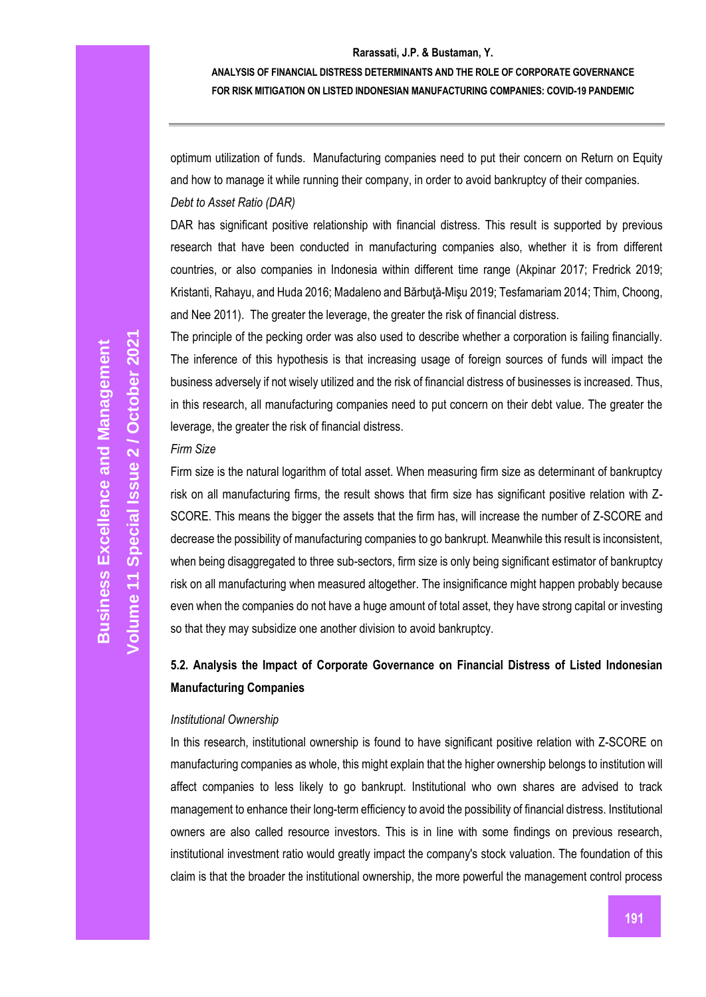## **ANALYSIS OF FINANCIAL DISTRESS DETERMINANTS AND THE ROLE OF CORPORATE GOVERNANCE FOR RISK MITIGATION ON LISTED INDONESIAN MANUFACTURING COMPANIES: COVID-19 PANDEMIC**

optimum utilization of funds. Manufacturing companies need to put their concern on Return on Equity and how to manage it while running their company, in order to avoid bankruptcy of their companies. *Debt to Asset Ratio (DAR)*

DAR has significant positive relationship with financial distress. This result is supported by previous research that have been conducted in manufacturing companies also, whether it is from different countries, or also companies in Indonesia within different time range (Akpinar 2017; Fredrick 2019; Kristanti, Rahayu, and Huda 2016; Madaleno and Bărbută-Misu 2019; Tesfamariam 2014; Thim, Choong, and Nee 2011). The greater the leverage, the greater the risk of financial distress.

The principle of the pecking order was also used to describe whether a corporation is failing financially. The inference of this hypothesis is that increasing usage of foreign sources of funds will impact the business adversely if not wisely utilized and the risk of financial distress of businesses is increased. Thus, in this research, all manufacturing companies need to put concern on their debt value. The greater the leverage, the greater the risk of financial distress.

## *Firm Size*

Firm size is the natural logarithm of total asset. When measuring firm size as determinant of bankruptcy risk on all manufacturing firms, the result shows that firm size has significant positive relation with Z-SCORE. This means the bigger the assets that the firm has, will increase the number of Z-SCORE and decrease the possibility of manufacturing companies to go bankrupt. Meanwhile this result is inconsistent, when being disaggregated to three sub-sectors, firm size is only being significant estimator of bankruptcy risk on all manufacturing when measured altogether. The insignificance might happen probably because even when the companies do not have a huge amount of total asset, they have strong capital or investing so that they may subsidize one another division to avoid bankruptcy.

# **5.2. Analysis the Impact of Corporate Governance on Financial Distress of Listed Indonesian Manufacturing Companies**

## *Institutional Ownership*

In this research, institutional ownership is found to have significant positive relation with Z-SCORE on manufacturing companies as whole, this might explain that the higher ownership belongs to institution will affect companies to less likely to go bankrupt. Institutional who own shares are advised to track management to enhance their long-term efficiency to avoid the possibility of financial distress. Institutional owners are also called resource investors. This is in line with some findings on previous research, institutional investment ratio would greatly impact the company's stock valuation. The foundation of this claim is that the broader the institutional ownership, the more powerful the management control process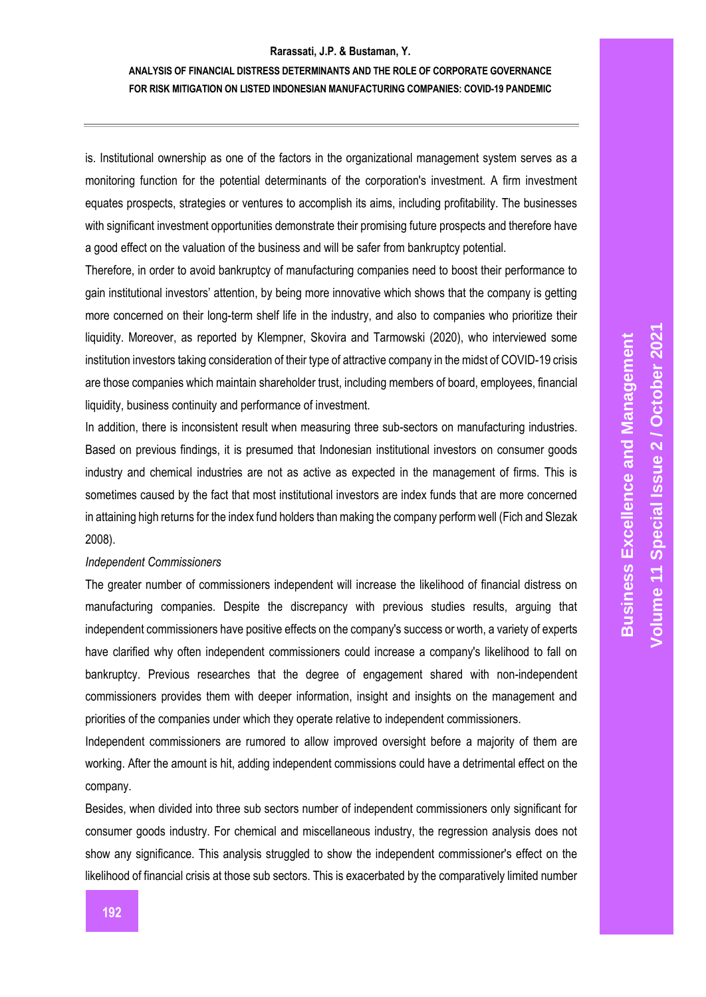# **ANALYSIS OF FINANCIAL DISTRESS DETERMINANTS AND THE ROLE OF CORPORATE GOVERNANCE FOR RISK MITIGATION ON LISTED INDONESIAN MANUFACTURING COMPANIES: COVID-19 PANDEMIC**

is. Institutional ownership as one of the factors in the organizational management system serves as a monitoring function for the potential determinants of the corporation's investment. A firm investment equates prospects, strategies or ventures to accomplish its aims, including profitability. The businesses with significant investment opportunities demonstrate their promising future prospects and therefore have a good effect on the valuation of the business and will be safer from bankruptcy potential.

Therefore, in order to avoid bankruptcy of manufacturing companies need to boost their performance to gain institutional investors' attention, by being more innovative which shows that the company is getting more concerned on their long-term shelf life in the industry, and also to companies who prioritize their liquidity. Moreover, as reported by Klempner, Skovira and Tarmowski (2020), who interviewed some institution investors taking consideration of their type of attractive company in the midst of COVID-19 crisis are those companies which maintain shareholder trust, including members of board, employees, financial liquidity, business continuity and performance of investment.

In addition, there is inconsistent result when measuring three sub-sectors on manufacturing industries. Based on previous findings, it is presumed that Indonesian institutional investors on consumer goods industry and chemical industries are not as active as expected in the management of firms. This is sometimes caused by the fact that most institutional investors are index funds that are more concerned in attaining high returns for the index fund holders than making the company perform well (Fich and Slezak 2008).

#### *Independent Commissioners*

The greater number of commissioners independent will increase the likelihood of financial distress on manufacturing companies. Despite the discrepancy with previous studies results, arguing that independent commissioners have positive effects on the company's success or worth, a variety of experts have clarified why often independent commissioners could increase a company's likelihood to fall on bankruptcy. Previous researches that the degree of engagement shared with non-independent commissioners provides them with deeper information, insight and insights on the management and priorities of the companies under which they operate relative to independent commissioners.

Independent commissioners are rumored to allow improved oversight before a majority of them are working. After the amount is hit, adding independent commissions could have a detrimental effect on the company.

Besides, when divided into three sub sectors number of independent commissioners only significant for consumer goods industry. For chemical and miscellaneous industry, the regression analysis does not show any significance. This analysis struggled to show the independent commissioner's effect on the likelihood of financial crisis at those sub sectors. This is exacerbated by the comparatively limited number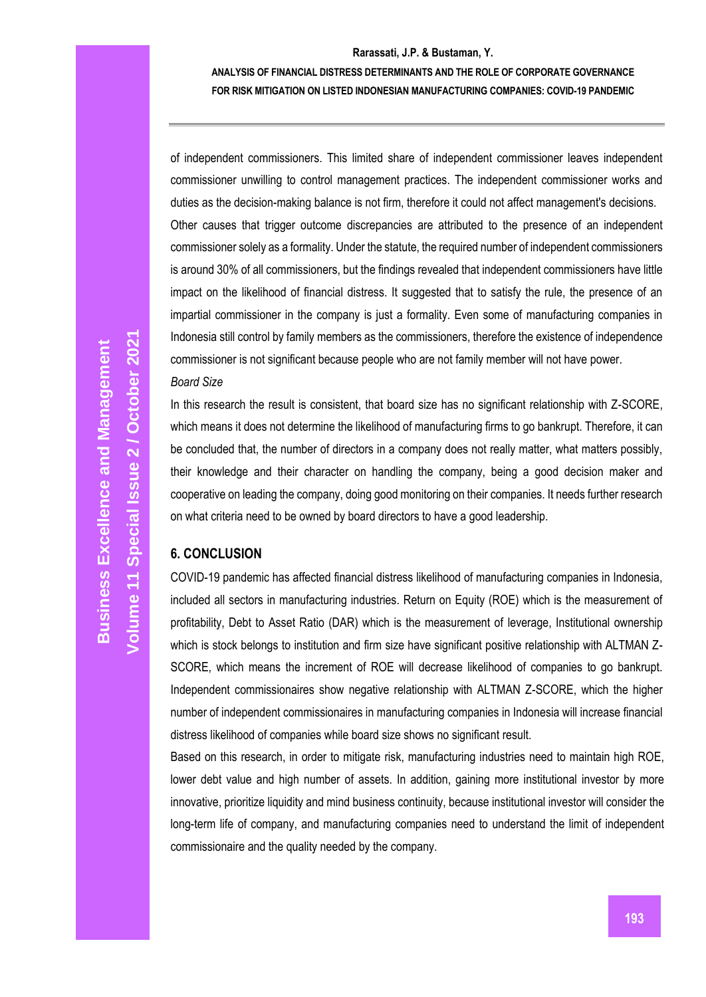## **ANALYSIS OF FINANCIAL DISTRESS DETERMINANTS AND THE ROLE OF CORPORATE GOVERNANCE FOR RISK MITIGATION ON LISTED INDONESIAN MANUFACTURING COMPANIES: COVID-19 PANDEMIC**

of independent commissioners. This limited share of independent commissioner leaves independent commissioner unwilling to control management practices. The independent commissioner works and duties as the decision-making balance is not firm, therefore it could not affect management's decisions. Other causes that trigger outcome discrepancies are attributed to the presence of an independent commissioner solely as a formality. Under the statute, the required number of independent commissioners is around 30% of all commissioners, but the findings revealed that independent commissioners have little impact on the likelihood of financial distress. It suggested that to satisfy the rule, the presence of an impartial commissioner in the company is just a formality. Even some of manufacturing companies in Indonesia still control by family members as the commissioners, therefore the existence of independence commissioner is not significant because people who are not family member will not have power. *Board Size*

In this research the result is consistent, that board size has no significant relationship with Z-SCORE, which means it does not determine the likelihood of manufacturing firms to go bankrupt. Therefore, it can be concluded that, the number of directors in a company does not really matter, what matters possibly, their knowledge and their character on handling the company, being a good decision maker and cooperative on leading the company, doing good monitoring on their companies. It needs further research on what criteria need to be owned by board directors to have a good leadership.

# **6. CONCLUSION**

COVID-19 pandemic has affected financial distress likelihood of manufacturing companies in Indonesia, included all sectors in manufacturing industries. Return on Equity (ROE) which is the measurement of profitability, Debt to Asset Ratio (DAR) which is the measurement of leverage, Institutional ownership which is stock belongs to institution and firm size have significant positive relationship with ALTMAN Z-SCORE, which means the increment of ROE will decrease likelihood of companies to go bankrupt. Independent commissionaires show negative relationship with ALTMAN Z-SCORE, which the higher number of independent commissionaires in manufacturing companies in Indonesia will increase financial distress likelihood of companies while board size shows no significant result.

Based on this research, in order to mitigate risk, manufacturing industries need to maintain high ROE, lower debt value and high number of assets. In addition, gaining more institutional investor by more innovative, prioritize liquidity and mind business continuity, because institutional investor will consider the long-term life of company, and manufacturing companies need to understand the limit of independent commissionaire and the quality needed by the company.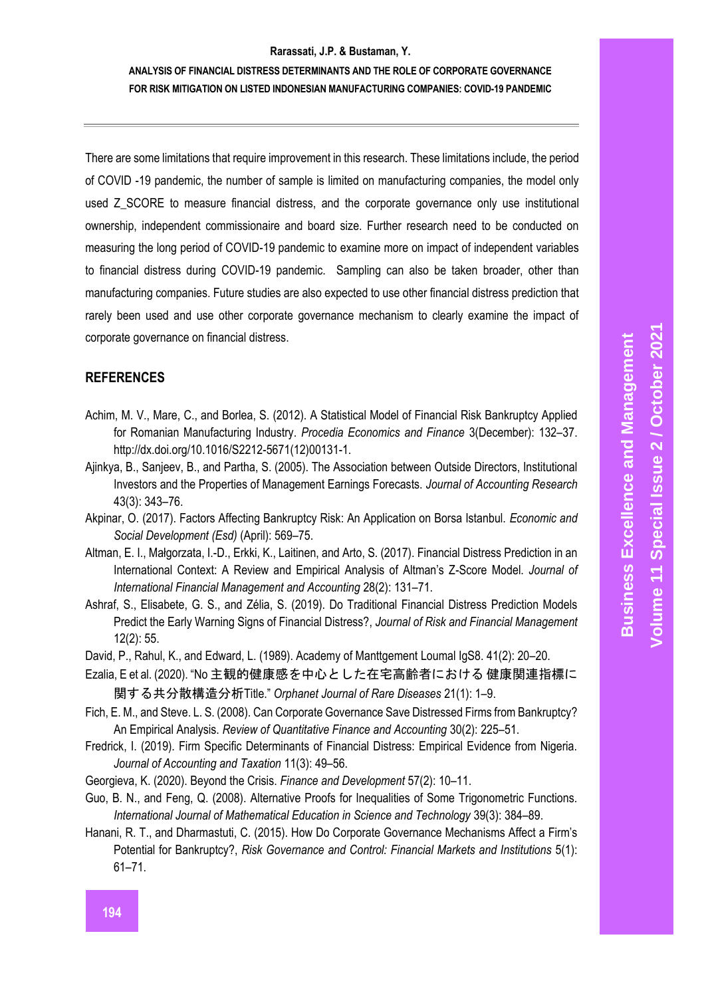# **ANALYSIS OF FINANCIAL DISTRESS DETERMINANTS AND THE ROLE OF CORPORATE GOVERNANCE FOR RISK MITIGATION ON LISTED INDONESIAN MANUFACTURING COMPANIES: COVID-19 PANDEMIC**

There are some limitations that require improvement in this research. These limitations include, the period of COVID -19 pandemic, the number of sample is limited on manufacturing companies, the model only used Z SCORE to measure financial distress, and the corporate governance only use institutional ownership, independent commissionaire and board size. Further research need to be conducted on measuring the long period of COVID-19 pandemic to examine more on impact of independent variables to financial distress during COVID-19 pandemic. Sampling can also be taken broader, other than manufacturing companies. Future studies are also expected to use other financial distress prediction that rarely been used and use other corporate governance mechanism to clearly examine the impact of corporate governance on financial distress.

# **REFERENCES**

- Achim, M. V., Mare, C., and Borlea, S. (2012). A Statistical Model of Financial Risk Bankruptcy Applied for Romanian Manufacturing Industry. *Procedia Economics and Finance* 3(December): 132–37. http://dx.doi.org/10.1016/S2212-5671(12)00131-1.
- Ajinkya, B., Sanjeev, B., and Partha, S. (2005). The Association between Outside Directors, Institutional Investors and the Properties of Management Earnings Forecasts. *Journal of Accounting Research* 43(3): 343–76.
- Akpinar, O. (2017). Factors Affecting Bankruptcy Risk: An Application on Borsa Istanbul. *Economic and Social Development (Esd)* (April): 569–75.
- Altman, E. I., Małgorzata, I.-D., Erkki, K., Laitinen, and Arto, S. (2017). Financial Distress Prediction in an International Context: A Review and Empirical Analysis of Altman's Z-Score Model. *Journal of International Financial Management and Accounting* 28(2): 131–71.
- Ashraf, S., Elisabete, G. S., and Zélia, S. (2019). Do Traditional Financial Distress Prediction Models Predict the Early Warning Signs of Financial Distress?, *Journal of Risk and Financial Management* 12(2): 55.
- David, P., Rahul, K., and Edward, L. (1989). Academy of Manttgement Loumal IgS8. 41(2): 20–20.
- Ezalia, E et al. (2020). "No 主観的健康感を中心とした在宅高齢者における 健康関連指標に 関する共分散構造分析Title." *Orphanet Journal of Rare Diseases* 21(1): 1–9.
- Fich, E. M., and Steve. L. S. (2008). Can Corporate Governance Save Distressed Firms from Bankruptcy? An Empirical Analysis. *Review of Quantitative Finance and Accounting* 30(2): 225–51.
- Fredrick, I. (2019). Firm Specific Determinants of Financial Distress: Empirical Evidence from Nigeria. *Journal of Accounting and Taxation* 11(3): 49–56.
- Georgieva, K. (2020). Beyond the Crisis. *Finance and Development* 57(2): 10–11.
- Guo, B. N., and Feng, Q. (2008). Alternative Proofs for Inequalities of Some Trigonometric Functions. *International Journal of Mathematical Education in Science and Technology* 39(3): 384–89.
- Hanani, R. T., and Dharmastuti, C. (2015). How Do Corporate Governance Mechanisms Affect a Firm's Potential for Bankruptcy?, *Risk Governance and Control: Financial Markets and Institutions* 5(1): 61–71.